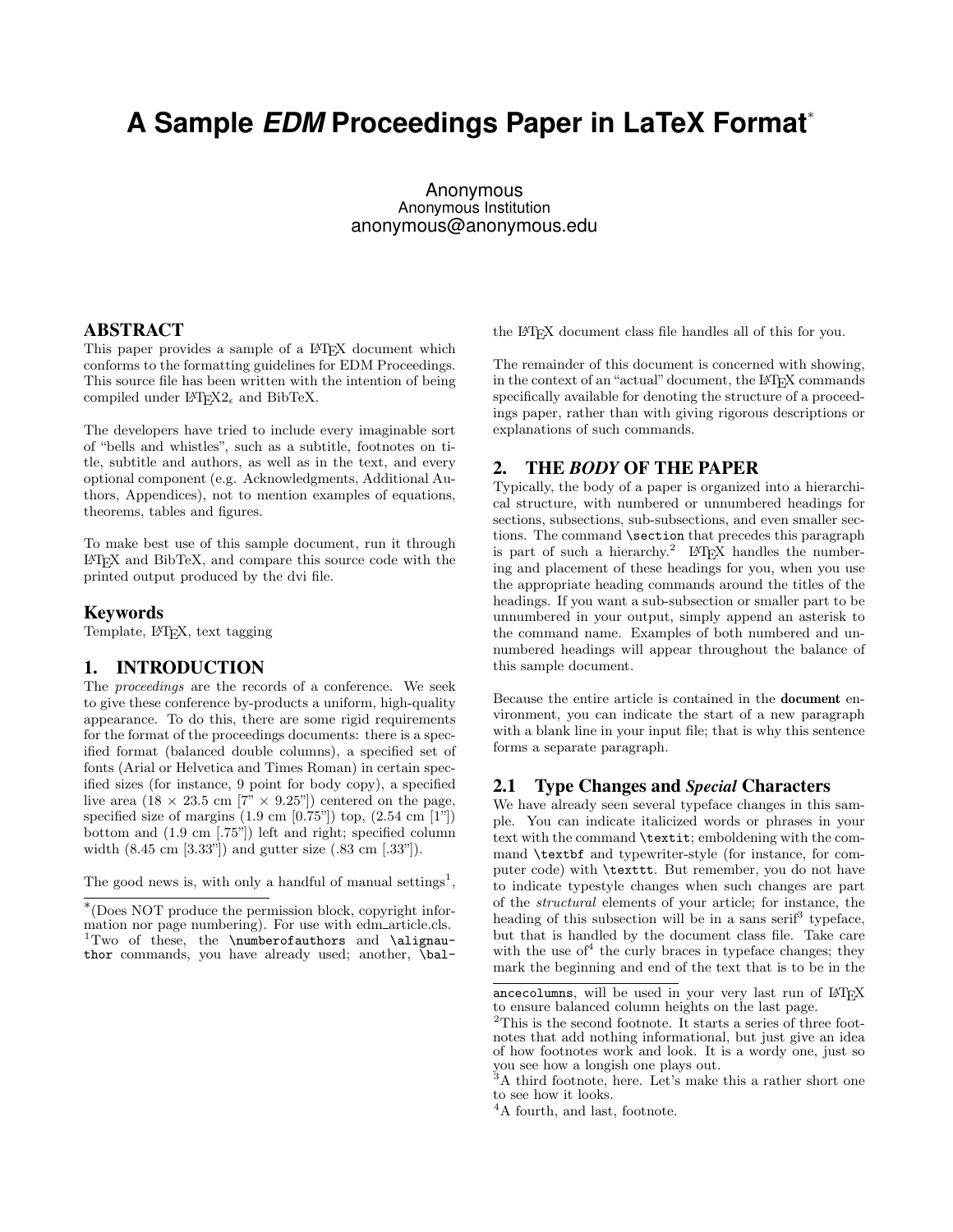# **A Sample** *EDM* **Proceedings Paper in LaTeX Format**<sup>∗</sup>

Anonymous Anonymous Institution anonymous@anonymous.edu

#### ABSTRACT

This paper provides a sample of a L<sup>A</sup>T<sub>E</sub>X document which conforms to the formatting guidelines for EDM Proceedings. This source file has been written with the intention of being compiled under  $\mathbb{F}T_F X2_\epsilon$  and BibTeX.

The developers have tried to include every imaginable sort of "bells and whistles", such as a subtitle, footnotes on title, subtitle and authors, as well as in the text, and every optional component (e.g. Acknowledgments, Additional Authors, Appendices), not to mention examples of equations, theorems, tables and figures.

To make best use of this sample document, run it through LATEX and BibTeX, and compare this source code with the printed output produced by the dvi file.

#### Keywords

Template, L<sup>AT</sup>FX, text tagging

#### 1. INTRODUCTION

The proceedings are the records of a conference. We seek to give these conference by-products a uniform, high-quality appearance. To do this, there are some rigid requirements for the format of the proceedings documents: there is a specified format (balanced double columns), a specified set of fonts (Arial or Helvetica and Times Roman) in certain specified sizes (for instance, 9 point for body copy), a specified live area  $(18 \times 23.5 \text{ cm } [7" \times 9.25]$  centered on the page, specified size of margins  $(1.9 \text{ cm } [0.75$ "]) top,  $(2.54 \text{ cm } [1$ "]) bottom and (1.9 cm [.75"]) left and right; specified column width (8.45 cm [3.33"]) and gutter size (.83 cm [.33"]).

The good news is, with only a handful of manual settings<sup>1</sup>,

the LATEX document class file handles all of this for you.

The remainder of this document is concerned with showing, in the context of an "actual" document, the LAT<sub>EX</sub> commands specifically available for denoting the structure of a proceedings paper, rather than with giving rigorous descriptions or explanations of such commands.

#### 2. THE *BODY* OF THE PAPER

Typically, the body of a paper is organized into a hierarchical structure, with numbered or unnumbered headings for sections, subsections, sub-subsections, and even smaller sections. The command **\section** that precedes this paragraph is part of such a hierarchy.<sup>2</sup> LAT<sub>EX</sub> handles the numbering and placement of these headings for you, when you use the appropriate heading commands around the titles of the headings. If you want a sub-subsection or smaller part to be unnumbered in your output, simply append an asterisk to the command name. Examples of both numbered and unnumbered headings will appear throughout the balance of this sample document.

Because the entire article is contained in the document environment, you can indicate the start of a new paragraph with a blank line in your input file; that is why this sentence forms a separate paragraph.

#### 2.1 Type Changes and *Special* Characters

We have already seen several typeface changes in this sample. You can indicate italicized words or phrases in your text with the command \textit; emboldening with the command \textbf and typewriter-style (for instance, for computer code) with \texttt. But remember, you do not have to indicate typestyle changes when such changes are part of the structural elements of your article; for instance, the heading of this subsection will be in a sans serif<sup>3</sup> typeface, but that is handled by the document class file. Take care with the use of  $4$  the curly braces in type face changes; they mark the beginning and end of the text that is to be in the

<sup>∗</sup> (Does NOT produce the permission block, copyright information nor page numbering). For use with edm\_article.cls.  $1$ Two of these, the \numberofauthors and \alignauthor commands, you have already used; another, \bal-

ancecolumns, will be used in your very last run of LATEX to ensure balanced column heights on the last page.

<sup>&</sup>lt;sup>2</sup>This is the second footnote. It starts a series of three footnotes that add nothing informational, but just give an idea of how footnotes work and look. It is a wordy one, just so you see how a longish one plays out.

<sup>&</sup>lt;sup>3</sup>A third footnote, here. Let's make this a rather short one to see how it looks.

<sup>&</sup>lt;sup>4</sup>A fourth, and last, footnote.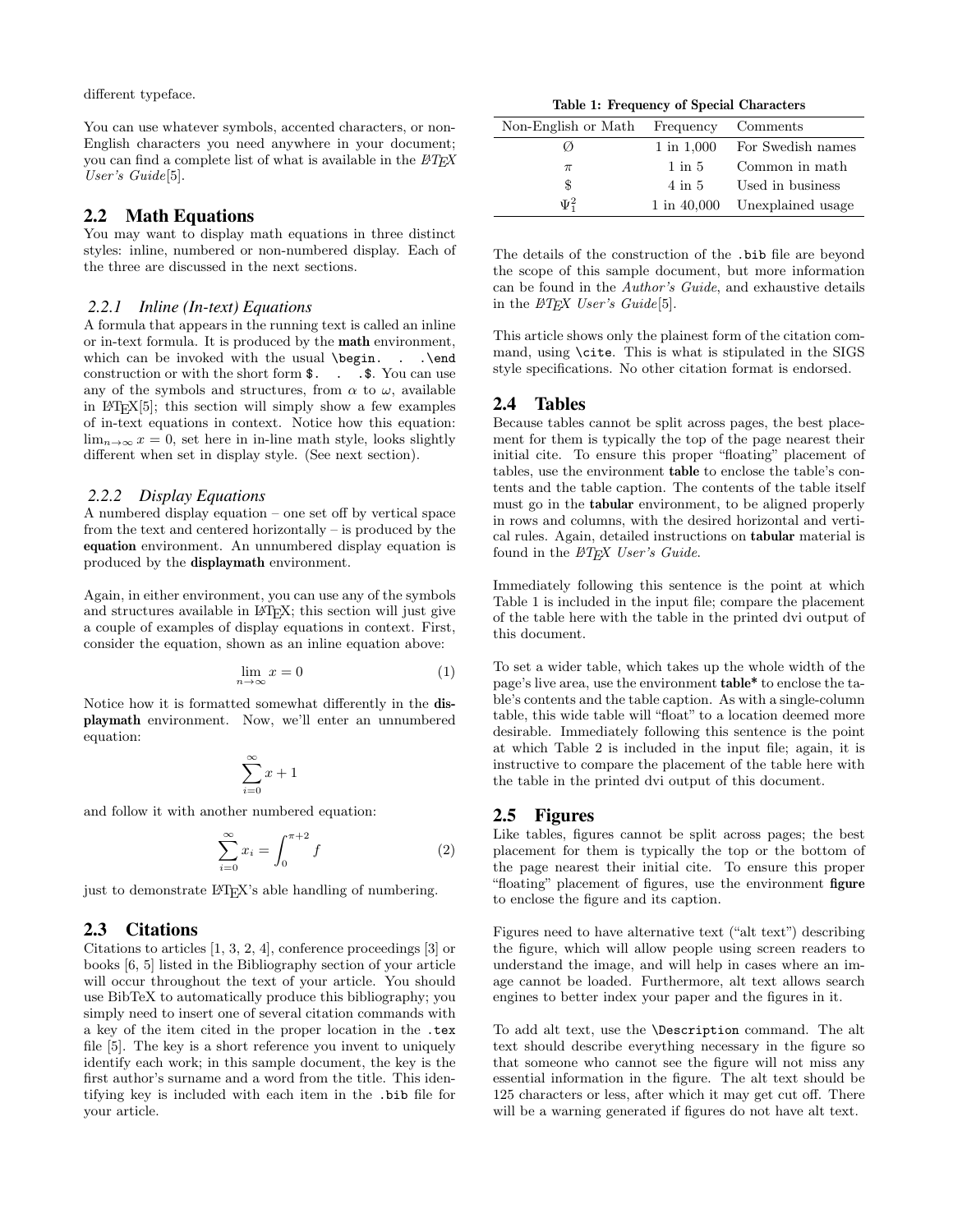different typeface.

You can use whatever symbols, accented characters, or non-English characters you need anywhere in your document; you can find a complete list of what is available in the  $BTEX$ User's Guide[5].

#### 2.2 Math Equations

You may want to display math equations in three distinct styles: inline, numbered or non-numbered display. Each of the three are discussed in the next sections.

#### *2.2.1 Inline (In-text) Equations*

A formula that appears in the running text is called an inline or in-text formula. It is produced by the math environment, which can be invoked with the usual \begin. . . \end construction or with the short form  $\$ . . .  $\$ . You can use any of the symbols and structures, from  $\alpha$  to  $\omega$ , available in LATEX[5]; this section will simply show a few examples of in-text equations in context. Notice how this equation:  $\lim_{n\to\infty} x = 0$ , set here in in-line math style, looks slightly different when set in display style. (See next section).

#### *2.2.2 Display Equations*

A numbered display equation – one set off by vertical space from the text and centered horizontally – is produced by the equation environment. An unnumbered display equation is produced by the displaymath environment.

Again, in either environment, you can use any of the symbols and structures available in L<sup>AT</sup>EX; this section will just give a couple of examples of display equations in context. First, consider the equation, shown as an inline equation above:

$$
\lim_{n \to \infty} x = 0 \tag{1}
$$

Notice how it is formatted somewhat differently in the displaymath environment. Now, we'll enter an unnumbered equation:

$$
\sum_{i=0}^{\infty} x + 1
$$

and follow it with another numbered equation:

$$
\sum_{i=0}^{\infty} x_i = \int_0^{\pi+2} f \tag{2}
$$

just to demonstrate L<sup>AT</sup>FX's able handling of numbering.

# 2.3 Citations

Citations to articles [1, 3, 2, 4], conference proceedings [3] or books [6, 5] listed in the Bibliography section of your article will occur throughout the text of your article. You should use BibTeX to automatically produce this bibliography; you simply need to insert one of several citation commands with a key of the item cited in the proper location in the .tex file [5]. The key is a short reference you invent to uniquely identify each work; in this sample document, the key is the first author's surname and a word from the title. This identifying key is included with each item in the .bib file for your article.

Table 1: Frequency of Special Characters

| Non-English or Math Frequency |                | Comments                      |
|-------------------------------|----------------|-------------------------------|
|                               | $1$ in $1,000$ | For Swedish names             |
| $\pi$                         | $1$ in $5$     | Common in math                |
| \$                            | 4 in 5         | Used in business              |
| $\Psi^2_1$                    |                | 1 in 40,000 Unexplained usage |

The details of the construction of the .bib file are beyond the scope of this sample document, but more information can be found in the Author's Guide, and exhaustive details in the  $\cancel{B}T_F X$  User's Guide<sup>[5]</sup>.

This article shows only the plainest form of the citation command, using \cite. This is what is stipulated in the SIGS style specifications. No other citation format is endorsed.

#### 2.4 Tables

Because tables cannot be split across pages, the best placement for them is typically the top of the page nearest their initial cite. To ensure this proper "floating" placement of tables, use the environment table to enclose the table's contents and the table caption. The contents of the table itself must go in the tabular environment, to be aligned properly in rows and columns, with the desired horizontal and vertical rules. Again, detailed instructions on tabular material is found in the  $BTEX$  User's Guide.

Immediately following this sentence is the point at which Table 1 is included in the input file; compare the placement of the table here with the table in the printed dvi output of this document.

To set a wider table, which takes up the whole width of the page's live area, use the environment table\* to enclose the table's contents and the table caption. As with a single-column table, this wide table will "float" to a location deemed more desirable. Immediately following this sentence is the point at which Table 2 is included in the input file; again, it is instructive to compare the placement of the table here with the table in the printed dvi output of this document.

#### 2.5 Figures

Like tables, figures cannot be split across pages; the best placement for them is typically the top or the bottom of the page nearest their initial cite. To ensure this proper "floating" placement of figures, use the environment figure to enclose the figure and its caption.

Figures need to have alternative text ("alt text") describing the figure, which will allow people using screen readers to understand the image, and will help in cases where an image cannot be loaded. Furthermore, alt text allows search engines to better index your paper and the figures in it.

To add alt text, use the \Description command. The alt text should describe everything necessary in the figure so that someone who cannot see the figure will not miss any essential information in the figure. The alt text should be 125 characters or less, after which it may get cut off. There will be a warning generated if figures do not have alt text.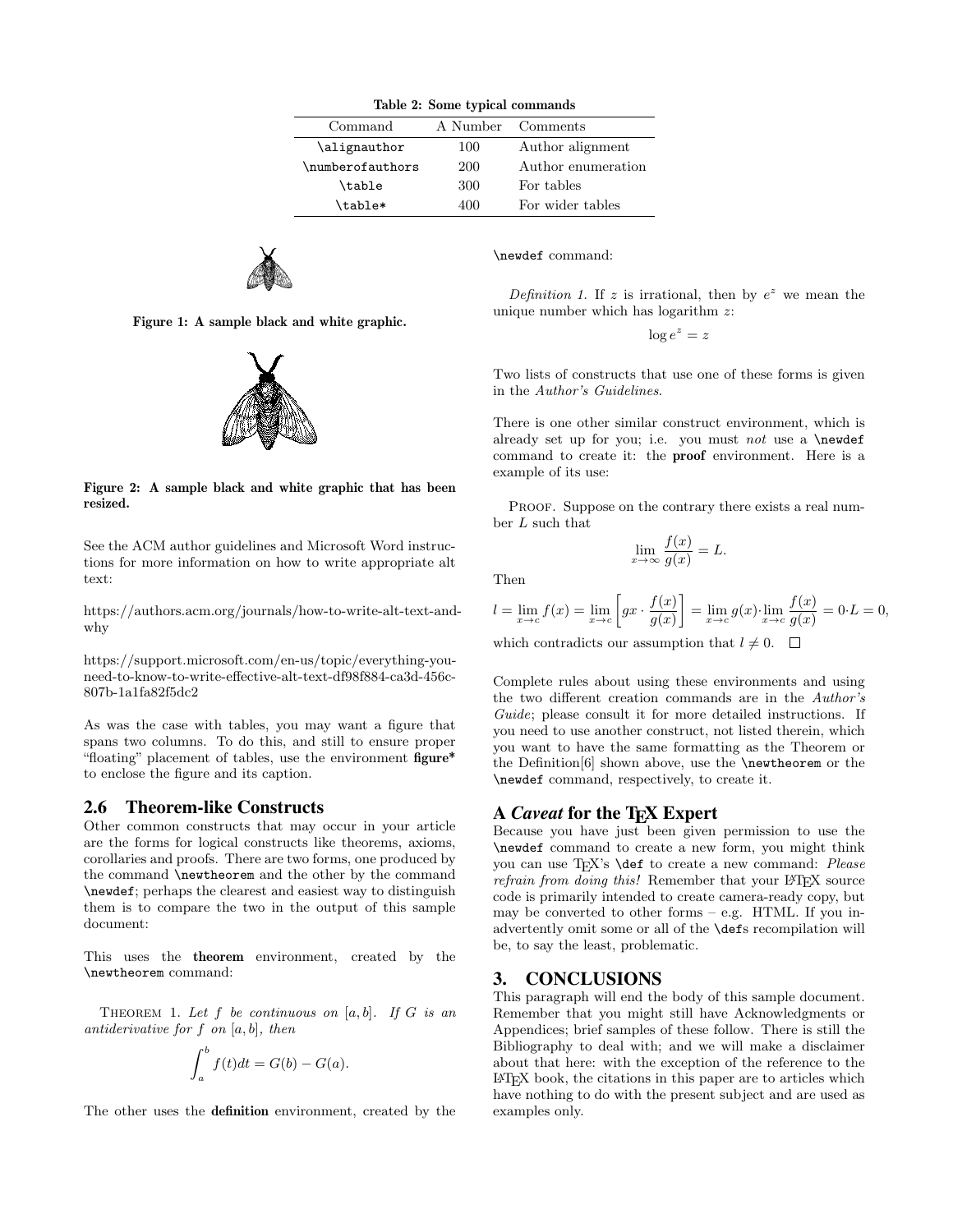| Table 2: Some typical commands |                   |                    |  |
|--------------------------------|-------------------|--------------------|--|
| Command                        | A Number Comments |                    |  |
| \alignauthor                   | 100               | Author alignment   |  |
| \numberofauthors               | 200               | Author enumeration |  |
| \table                         | 300               | For tables         |  |
| \table*                        | 400               | For wider tables   |  |



Figure 1: A sample black and white graphic.



Figure 2: A sample black and white graphic that has been resized.

See the ACM author guidelines and Microsoft Word instructions for more information on how to write appropriate alt text:

https://authors.acm.org/journals/how-to-write-alt-text-andwhy

https://support.microsoft.com/en-us/topic/everything-youneed-to-know-to-write-effective-alt-text-df98f884-ca3d-456c-807b-1a1fa82f5dc2

As was the case with tables, you may want a figure that spans two columns. To do this, and still to ensure proper "floating" placement of tables, use the environment figure\* to enclose the figure and its caption.

#### 2.6 Theorem-like Constructs

Other common constructs that may occur in your article are the forms for logical constructs like theorems, axioms, corollaries and proofs. There are two forms, one produced by the command \newtheorem and the other by the command \newdef; perhaps the clearest and easiest way to distinguish them is to compare the two in the output of this sample document:

This uses the theorem environment, created by the \newtheorem command:

THEOREM 1. Let  $f$  be continuous on  $[a, b]$ . If  $G$  is an antiderivative for  $f$  on  $[a, b]$ , then

$$
\int_a^b f(t)dt = G(b) - G(a).
$$

The other uses the definition environment, created by the

\newdef command:

Definition 1. If z is irrational, then by  $e^z$  we mean the unique number which has logarithm z:

$$
\log e^z = z
$$

Two lists of constructs that use one of these forms is given in the Author's Guidelines.

There is one other similar construct environment, which is already set up for you; i.e. you must not use a  $\neq$ command to create it: the proof environment. Here is a example of its use:

PROOF. Suppose on the contrary there exists a real number L such that

$$
\lim_{x \to \infty} \frac{f(x)}{g(x)} = L.
$$

Then

$$
l = \lim_{x \to c} f(x) = \lim_{x \to c} \left[ gx \cdot \frac{f(x)}{g(x)} \right] = \lim_{x \to c} g(x) \cdot \lim_{x \to c} \frac{f(x)}{g(x)} = 0 \cdot L = 0,
$$

which contradicts our assumption that  $l \neq 0$ .  $\Box$ 

Complete rules about using these environments and using the two different creation commands are in the Author's Guide; please consult it for more detailed instructions. If you need to use another construct, not listed therein, which you want to have the same formatting as the Theorem or the Definition[6] shown above, use the \newtheorem or the \newdef command, respectively, to create it.

#### A *Caveat* for the T<sub>E</sub>X Expert

Because you have just been given permission to use the \newdef command to create a new form, you might think you can use TEX's **\def** to create a new command: Please refrain from doing this! Remember that your LATEX source code is primarily intended to create camera-ready copy, but may be converted to other forms – e.g. HTML. If you inadvertently omit some or all of the \defs recompilation will be, to say the least, problematic.

#### 3. CONCLUSIONS

This paragraph will end the body of this sample document. Remember that you might still have Acknowledgments or Appendices; brief samples of these follow. There is still the Bibliography to deal with; and we will make a disclaimer about that here: with the exception of the reference to the LATEX book, the citations in this paper are to articles which have nothing to do with the present subject and are used as examples only.